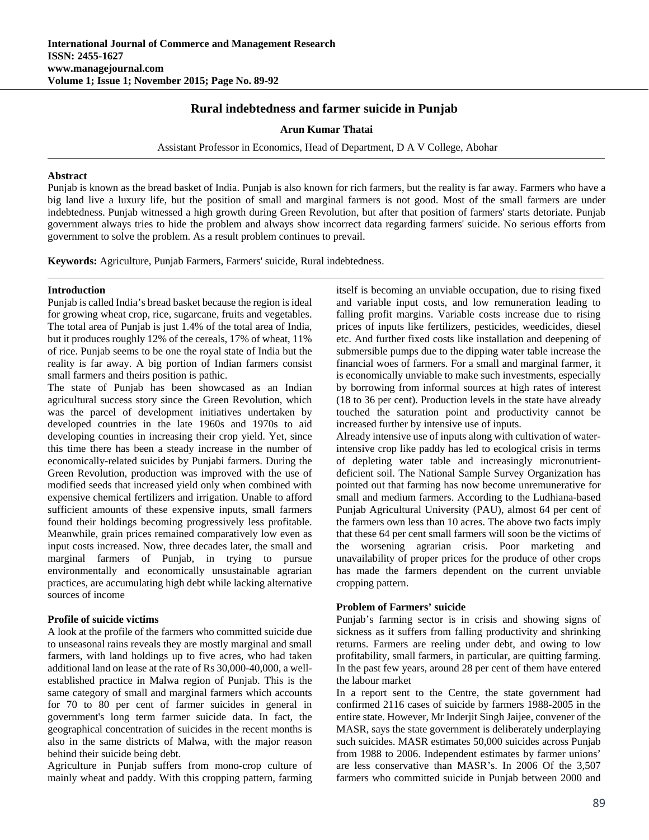## **Rural indebtedness and farmer suicide in Punjab**

**Arun Kumar Thatai**

Assistant Professor in Economics, Head of Department, D A V College, Abohar

#### **Abstract**

Punjab is known as the bread basket of India. Punjab is also known for rich farmers, but the reality is far away. Farmers who have a big land live a luxury life, but the position of small and marginal farmers is not good. Most of the small farmers are under indebtedness. Punjab witnessed a high growth during Green Revolution, but after that position of farmers' starts detoriate. Punjab government always tries to hide the problem and always show incorrect data regarding farmers' suicide. No serious efforts from government to solve the problem. As a result problem continues to prevail.

**Keywords:** Agriculture, Punjab Farmers, Farmers' suicide, Rural indebtedness.

#### **Introduction**

Punjab is called India's bread basket because the region is ideal for growing wheat crop, rice, sugarcane, fruits and vegetables. The total area of Punjab is just 1.4% of the total area of India, but it produces roughly 12% of the cereals, 17% of wheat, 11% of rice. Punjab seems to be one the royal state of India but the reality is far away. A big portion of Indian farmers consist small farmers and theirs position is pathic.

The state of Punjab has been showcased as an Indian agricultural success story since the Green Revolution, which was the parcel of development initiatives undertaken by developed countries in the late 1960s and 1970s to aid developing counties in increasing their crop yield. Yet, since this time there has been a steady increase in the number of economically-related suicides by Punjabi farmers. During the Green Revolution, production was improved with the use of modified seeds that increased yield only when combined with expensive chemical fertilizers and irrigation. Unable to afford sufficient amounts of these expensive inputs, small farmers found their holdings becoming progressively less profitable. Meanwhile, grain prices remained comparatively low even as input costs increased. Now, three decades later, the small and marginal farmers of Punjab, in trying to pursue environmentally and economically unsustainable agrarian practices, are accumulating high debt while lacking alternative sources of income

## **Profile of suicide victims**

A look at the profile of the farmers who committed suicide due to unseasonal rains reveals they are mostly marginal and small farmers, with land holdings up to five acres, who had taken additional land on lease at the rate of Rs 30,000-40,000, a wellestablished practice in Malwa region of Punjab. This is the same category of small and marginal farmers which accounts for 70 to 80 per cent of farmer suicides in general in government's long term farmer suicide data. In fact, the geographical concentration of suicides in the recent months is also in the same districts of Malwa, with the major reason behind their suicide being debt.

Agriculture in Punjab suffers from mono-crop culture of mainly wheat and paddy. With this cropping pattern, farming

itself is becoming an unviable occupation, due to rising fixed and variable input costs, and low remuneration leading to falling profit margins. Variable costs increase due to rising prices of inputs like fertilizers, pesticides, weedicides, diesel etc. And further fixed costs like installation and deepening of submersible pumps due to the dipping water table increase the financial woes of farmers. For a small and marginal farmer, it is economically unviable to make such investments, especially by borrowing from informal sources at high rates of interest (18 to 36 per cent). Production levels in the state have already touched the saturation point and productivity cannot be increased further by intensive use of inputs.

Already intensive use of inputs along with cultivation of waterintensive crop like paddy has led to ecological crisis in terms of depleting water table and increasingly micronutrientdeficient soil. The National Sample Survey Organization has pointed out that farming has now become unremunerative for small and medium farmers. According to the Ludhiana-based Punjab Agricultural University (PAU), almost 64 per cent of the farmers own less than 10 acres. The above two facts imply that these 64 per cent small farmers will soon be the victims of the worsening agrarian crisis. Poor marketing and unavailability of proper prices for the produce of other crops has made the farmers dependent on the current unviable cropping pattern.

## **Problem of Farmers' suicide**

Punjab's farming sector is in crisis and showing signs of sickness as it suffers from falling productivity and shrinking returns. Farmers are reeling under debt, and owing to low profitability, small farmers, in particular, are quitting farming. In the past few years, around 28 per cent of them have entered the labour market

In a report sent to the Centre, the state government had confirmed 2116 cases of suicide by farmers 1988-2005 in the entire state. However, Mr Inderjit Singh Jaijee, convener of the MASR, says the state government is deliberately underplaying such suicides. MASR estimates 50,000 suicides across Punjab from 1988 to 2006. Independent estimates by farmer unions' are less conservative than MASR's. In 2006 Of the 3,507 farmers who committed suicide in Punjab between 2000 and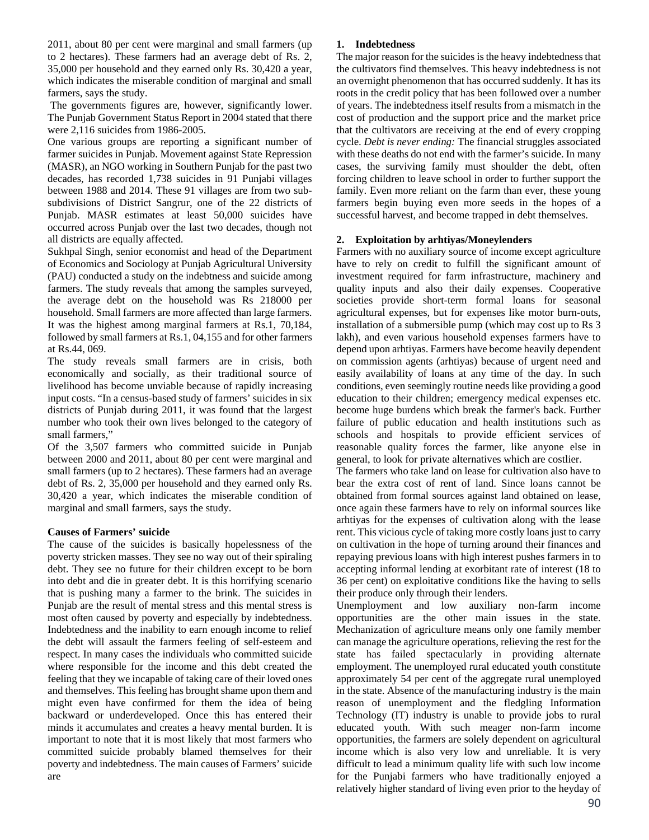2011, about 80 per cent were marginal and small farmers (up to 2 hectares). These farmers had an average debt of Rs. 2, 35,000 per household and they earned only Rs. 30,420 a year, which indicates the miserable condition of marginal and small farmers, says the study.

 The governments figures are, however, significantly lower. The Punjab Government Status Report in 2004 stated that there were 2,116 suicides from 1986-2005.

One various groups are reporting a significant number of farmer suicides in Punjab. Movement against State Repression (MASR), an NGO working in Southern Punjab for the past two decades, has recorded 1,738 suicides in 91 Punjabi villages between 1988 and 2014. These 91 villages are from two subsubdivisions of District Sangrur, one of the 22 districts of Punjab. MASR estimates at least 50,000 suicides have occurred across Punjab over the last two decades, though not all districts are equally affected.

Sukhpal Singh, senior economist and head of the Department of Economics and Sociology at Punjab Agricultural University (PAU) conducted a study on the indebtness and suicide among farmers. The study reveals that among the samples surveyed, the average debt on the household was Rs 218000 per household. Small farmers are more affected than large farmers. It was the highest among marginal farmers at Rs.1, 70,184, followed by small farmers at Rs.1, 04,155 and for other farmers at Rs.44, 069.

The study reveals small farmers are in crisis, both economically and socially, as their traditional source of livelihood has become unviable because of rapidly increasing input costs. "In a census-based study of farmers' suicides in six districts of Punjab during 2011, it was found that the largest number who took their own lives belonged to the category of small farmers,"

Of the 3,507 farmers who committed suicide in Punjab between 2000 and 2011, about 80 per cent were marginal and small farmers (up to 2 hectares). These farmers had an average debt of Rs. 2, 35,000 per household and they earned only Rs. 30,420 a year, which indicates the miserable condition of marginal and small farmers, says the study.

#### **Causes of Farmers' suicide**

The cause of the suicides is basically hopelessness of the poverty stricken masses. They see no way out of their spiraling debt. They see no future for their children except to be born into debt and die in greater debt. It is this horrifying scenario that is pushing many a farmer to the brink. The suicides in Punjab are the result of mental stress and this mental stress is most often caused by poverty and especially by indebtedness. Indebtedness and the inability to earn enough income to relief the debt will assault the farmers feeling of self-esteem and respect. In many cases the individuals who committed suicide where responsible for the income and this debt created the feeling that they we incapable of taking care of their loved ones and themselves. This feeling has brought shame upon them and might even have confirmed for them the idea of being backward or underdeveloped. Once this has entered their minds it accumulates and creates a heavy mental burden. It is important to note that it is most likely that most farmers who committed suicide probably blamed themselves for their poverty and indebtedness. The main causes of Farmers' suicide are

#### **1. Indebtedness**

The major reason for the suicides is the heavy indebtedness that the cultivators find themselves. This heavy indebtedness is not an overnight phenomenon that has occurred suddenly. It has its roots in the credit policy that has been followed over a number of years. The indebtedness itself results from a mismatch in the cost of production and the support price and the market price that the cultivators are receiving at the end of every cropping cycle. *Debt is never ending:* The financial struggles associated with these deaths do not end with the farmer's suicide. In many cases, the surviving family must shoulder the debt, often forcing children to leave school in order to further support the family. Even more reliant on the farm than ever, these young farmers begin buying even more seeds in the hopes of a successful harvest, and become trapped in debt themselves.

#### **2. Exploitation by arhtiyas/Moneylenders**

Farmers with no auxiliary source of income except agriculture have to rely on credit to fulfill the significant amount of investment required for farm infrastructure, machinery and quality inputs and also their daily expenses. Cooperative societies provide short-term formal loans for seasonal agricultural expenses, but for expenses like motor burn-outs, installation of a submersible pump (which may cost up to Rs 3 lakh), and even various household expenses farmers have to depend upon arhtiyas. Farmers have become heavily dependent on commission agents (arhtiyas) because of urgent need and easily availability of loans at any time of the day. In such conditions, even seemingly routine needs like providing a good education to their children; emergency medical expenses etc. become huge burdens which break the farmer's back. Further failure of public education and health institutions such as schools and hospitals to provide efficient services of reasonable quality forces the farmer, like anyone else in general, to look for private alternatives which are costlier.

The farmers who take land on lease for cultivation also have to bear the extra cost of rent of land. Since loans cannot be obtained from formal sources against land obtained on lease, once again these farmers have to rely on informal sources like arhtiyas for the expenses of cultivation along with the lease rent. This vicious cycle of taking more costly loans just to carry on cultivation in the hope of turning around their finances and repaying previous loans with high interest pushes farmers in to accepting informal lending at exorbitant rate of interest (18 to 36 per cent) on exploitative conditions like the having to sells their produce only through their lenders.

Unemployment and low auxiliary non-farm income opportunities are the other main issues in the state. Mechanization of agriculture means only one family member can manage the agriculture operations, relieving the rest for the state has failed spectacularly in providing alternate employment. The unemployed rural educated youth constitute approximately 54 per cent of the aggregate rural unemployed in the state. Absence of the manufacturing industry is the main reason of unemployment and the fledgling Information Technology (IT) industry is unable to provide jobs to rural educated youth. With such meager non-farm income opportunities, the farmers are solely dependent on agricultural income which is also very low and unreliable. It is very difficult to lead a minimum quality life with such low income for the Punjabi farmers who have traditionally enjoyed a relatively higher standard of living even prior to the heyday of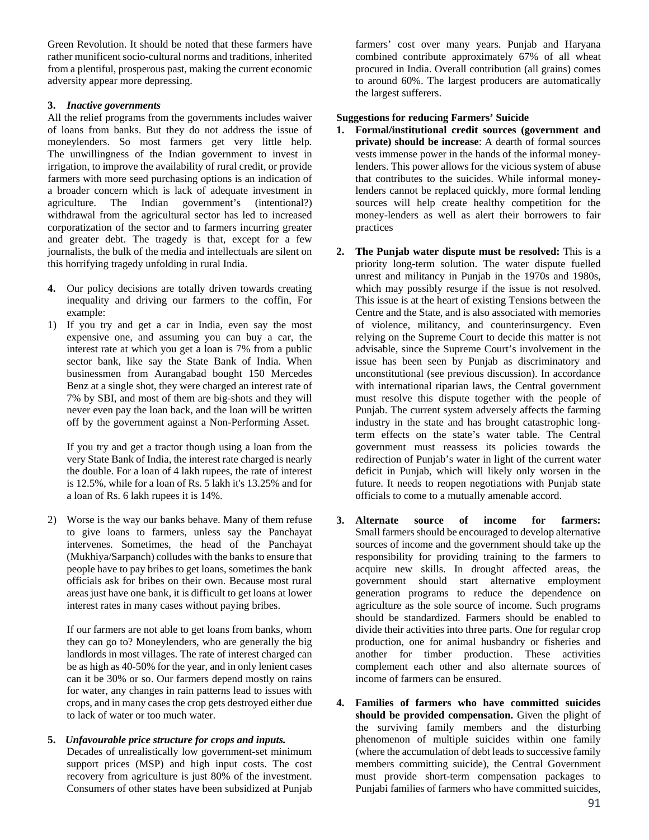Green Revolution. It should be noted that these farmers have rather munificent socio-cultural norms and traditions, inherited from a plentiful, prosperous past, making the current economic adversity appear more depressing.

## **3.** *Inactive governments*

All the relief programs from the governments includes waiver of loans from banks. But they do not address the issue of moneylenders. So most farmers get very little help. The unwillingness of the Indian government to invest in irrigation, to improve the availability of rural credit, or provide farmers with more seed purchasing options is an indication of a broader concern which is lack of adequate investment in agriculture. The Indian government's (intentional?) withdrawal from the agricultural sector has led to increased corporatization of the sector and to farmers incurring greater and greater debt. The tragedy is that, except for a few journalists, the bulk of the media and intellectuals are silent on this horrifying tragedy unfolding in rural India.

- **4.** Our policy decisions are totally driven towards creating inequality and driving our farmers to the coffin, For example:
- 1) If you try and get a car in India, even say the most expensive one, and assuming you can buy a car, the interest rate at which you get a loan is 7% from a public sector bank, like say the State Bank of India. When businessmen from Aurangabad bought 150 Mercedes Benz at a single shot, they were charged an interest rate of 7% by SBI, and most of them are big-shots and they will never even pay the loan back, and the loan will be written off by the government against a Non-Performing Asset.

If you try and get a tractor though using a loan from the very State Bank of India, the interest rate charged is nearly the double. For a loan of 4 lakh rupees, the rate of interest is 12.5%, while for a loan of Rs. 5 lakh it's 13.25% and for a loan of Rs. 6 lakh rupees it is 14%.

2) Worse is the way our banks behave. Many of them refuse to give loans to farmers, unless say the Panchayat intervenes. Sometimes, the head of the Panchayat (Mukhiya/Sarpanch) colludes with the banks to ensure that people have to pay bribes to get loans, sometimes the bank officials ask for bribes on their own. Because most rural areas just have one bank, it is difficult to get loans at lower interest rates in many cases without paying bribes.

If our farmers are not able to get loans from banks, whom they can go to? Moneylenders, who are generally the big landlords in most villages. The rate of interest charged can be as high as 40-50% for the year, and in only lenient cases can it be 30% or so. Our farmers depend mostly on rains for water, any changes in rain patterns lead to issues with crops, and in many cases the crop gets destroyed either due to lack of water or too much water.

**5.** *Unfavourable price structure for crops and inputs.* Decades of unrealistically low government-set minimum support prices (MSP) and high input costs. The cost recovery from agriculture is just 80% of the investment. Consumers of other states have been subsidized at Punjab farmers' cost over many years. Punjab and Haryana combined contribute approximately 67% of all wheat procured in India. Overall contribution (all grains) comes to around 60%. The largest producers are automatically the largest sufferers.

# **Suggestions for reducing Farmers' Suicide**

- **1. Formal/institutional credit sources (government and private) should be increase**: A dearth of formal sources vests immense power in the hands of the informal moneylenders. This power allows for the vicious system of abuse that contributes to the suicides. While informal moneylenders cannot be replaced quickly, more formal lending sources will help create healthy competition for the money-lenders as well as alert their borrowers to fair practices
- **2. The Punjab water dispute must be resolved:** This is a priority long-term solution. The water dispute fuelled unrest and militancy in Punjab in the 1970s and 1980s, which may possibly resurge if the issue is not resolved. This issue is at the heart of existing Tensions between the Centre and the State, and is also associated with memories of violence, militancy, and counterinsurgency. Even relying on the Supreme Court to decide this matter is not advisable, since the Supreme Court's involvement in the issue has been seen by Punjab as discriminatory and unconstitutional (see previous discussion). In accordance with international riparian laws, the Central government must resolve this dispute together with the people of Punjab. The current system adversely affects the farming industry in the state and has brought catastrophic longterm effects on the state's water table. The Central government must reassess its policies towards the redirection of Punjab's water in light of the current water deficit in Punjab, which will likely only worsen in the future. It needs to reopen negotiations with Punjab state officials to come to a mutually amenable accord.
- **3. Alternate source of income for farmers:**  Small farmers should be encouraged to develop alternative sources of income and the government should take up the responsibility for providing training to the farmers to acquire new skills. In drought affected areas, the government should start alternative employment generation programs to reduce the dependence on agriculture as the sole source of income. Such programs should be standardized. Farmers should be enabled to divide their activities into three parts. One for regular crop production, one for animal husbandry or fisheries and another for timber production. These activities complement each other and also alternate sources of income of farmers can be ensured.
- **4. Families of farmers who have committed suicides should be provided compensation.** Given the plight of the surviving family members and the disturbing phenomenon of multiple suicides within one family (where the accumulation of debt leads to successive family members committing suicide), the Central Government must provide short-term compensation packages to Punjabi families of farmers who have committed suicides,